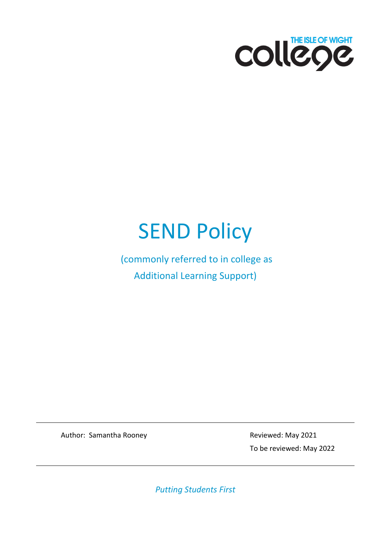

# **SEND Policy**

(commonly referred to in college as Additional Learning Support)

Author: Samantha Rooney **Reviewed: May 2021** 

To be reviewed: May 2022

*Putting Students First*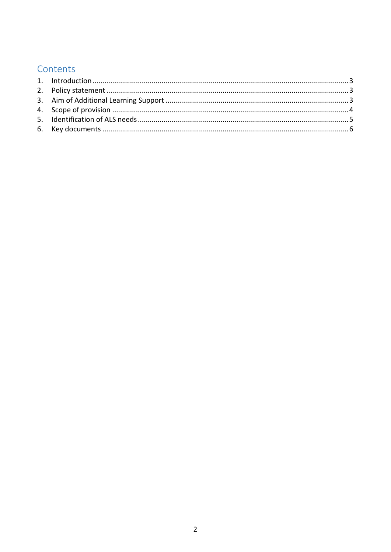## Contents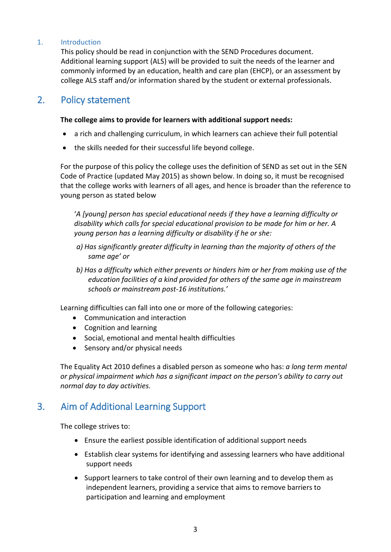#### <span id="page-2-0"></span>1. Introduction

This policy should be read in conjunction with the SEND Procedures document. Additional learning support (ALS) will be provided to suit the needs of the learner and commonly informed by an education, health and care plan (EHCP), or an assessment by college ALS staff and/or information shared by the student or external professionals.

### <span id="page-2-1"></span>2. Policy statement

#### **The college aims to provide for learners with additional support needs:**

- a rich and challenging curriculum, in which learners can achieve their full potential
- the skills needed for their successful life beyond college.

For the purpose of this policy the college uses the definition of SEND as set out in the SEN Code of Practice (updated May 2015) as shown below. In doing so, it must be recognised that the college works with learners of all ages, and hence is broader than the reference to young person as stated below

'*A [young] person has special educational needs if they have a learning difficulty or disability which calls for special educational provision to be made for him or her. A young person has a learning difficulty or disability if he or she:*

- *a) Has significantly greater difficulty in learning than the majority of others of the same age' or*
- *b) Has a difficulty which either prevents or hinders him or her from making use of the education facilities of a kind provided for others of the same age in mainstream schools or mainstream post-16 institutions.'*

Learning difficulties can fall into one or more of the following categories:

- Communication and interaction
- Cognition and learning
- Social, emotional and mental health difficulties
- Sensory and/or physical needs

The Equality Act 2010 defines a disabled person as someone who has: *a long term mental or physical impairment which has a significant impact on the person's ability to carry out normal day to day activities.*

## <span id="page-2-2"></span>3. Aim of Additional Learning Support

The college strives to:

- Ensure the earliest possible identification of additional support needs
- Establish clear systems for identifying and assessing learners who have additional support needs
- Support learners to take control of their own learning and to develop them as independent learners, providing a service that aims to remove barriers to participation and learning and employment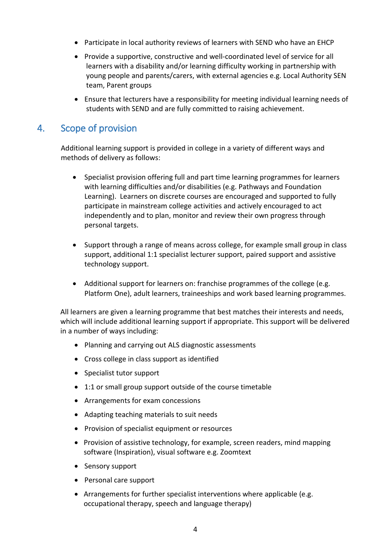- Participate in local authority reviews of learners with SEND who have an EHCP
- Provide a supportive, constructive and well-coordinated level of service for all learners with a disability and/or learning difficulty working in partnership with young people and parents/carers, with external agencies e.g. Local Authority SEN team, Parent groups
- Ensure that lecturers have a responsibility for meeting individual learning needs of students with SEND and are fully committed to raising achievement.

## <span id="page-3-0"></span>4. Scope of provision

Additional learning support is provided in college in a variety of different ways and methods of delivery as follows:

- Specialist provision offering full and part time learning programmes for learners with learning difficulties and/or disabilities (e.g. Pathways and Foundation Learning). Learners on discrete courses are encouraged and supported to fully participate in mainstream college activities and actively encouraged to act independently and to plan, monitor and review their own progress through personal targets.
- Support through a range of means across college, for example small group in class support, additional 1:1 specialist lecturer support, paired support and assistive technology support.
- Additional support for learners on: franchise programmes of the college (e.g. Platform One), adult learners, traineeships and work based learning programmes.

All learners are given a learning programme that best matches their interests and needs, which will include additional learning support if appropriate. This support will be delivered in a number of ways including:

- Planning and carrying out ALS diagnostic assessments
- Cross college in class support as identified
- Specialist tutor support
- 1:1 or small group support outside of the course timetable
- Arrangements for exam concessions
- Adapting teaching materials to suit needs
- Provision of specialist equipment or resources
- Provision of assistive technology, for example, screen readers, mind mapping software (Inspiration), visual software e.g. Zoomtext
- Sensory support
- Personal care support
- Arrangements for further specialist interventions where applicable (e.g. occupational therapy, speech and language therapy)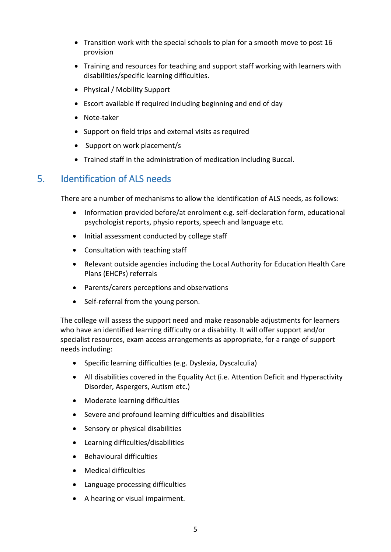- Transition work with the special schools to plan for a smooth move to post 16 provision
- Training and resources for teaching and support staff working with learners with disabilities/specific learning difficulties.
- Physical / Mobility Support
- Escort available if required including beginning and end of day
- Note-taker
- Support on field trips and external visits as required
- Support on work placement/s
- Trained staff in the administration of medication including Buccal.

## <span id="page-4-0"></span>5. Identification of ALS needs

There are a number of mechanisms to allow the identification of ALS needs, as follows:

- Information provided before/at enrolment e.g. self-declaration form, educational psychologist reports, physio reports, speech and language etc.
- Initial assessment conducted by college staff
- Consultation with teaching staff
- Relevant outside agencies including the Local Authority for Education Health Care Plans (EHCPs) referrals
- Parents/carers perceptions and observations
- Self-referral from the young person.

The college will assess the support need and make reasonable adjustments for learners who have an identified learning difficulty or a disability. It will offer support and/or specialist resources, exam access arrangements as appropriate, for a range of support needs including:

- Specific learning difficulties (e.g. [Dyslexia,](http://www.ncn.ac.uk/content/Aboutncn/StudentSupport/ALS/Dyslexia.aspx) Dyscalculia)
- All disabilities covered in the Equality Act (i.e. Attention Deficit and Hyperactivity Disorder, Aspergers, Autism etc.)
- Moderate learning difficulties
- Severe and profound learning difficulties and disabilities
- Sensory or physical disabilities
- Learning difficulties/disabilities
- Behavioural difficulties
- Medical difficulties
- Language processing difficulties
- A hearing or visual impairment.